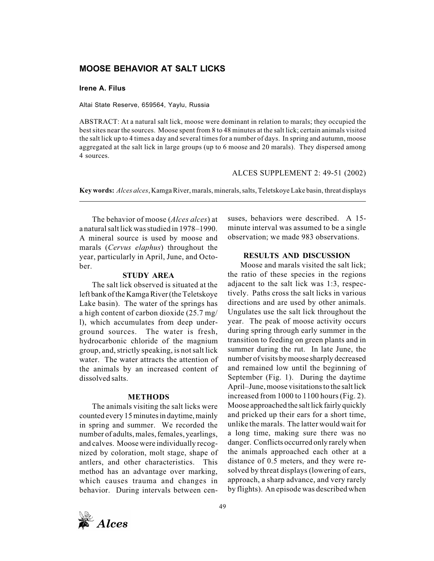# **MOOSE BEHAVIOR AT SALT LICKS**

### **Irene A. Filus**

Altai State Reserve, 659564, Yaylu, Russia

ABSTRACT: At a natural salt lick, moose were dominant in relation to marals; they occupied the best sites near the sources. Moose spent from 8 to 48 minutes at the salt lick; certain animals visited the salt lick up to 4 times a day and several times for a number of days. In spring and autumn, moose aggregated at the salt lick in large groups (up to 6 moose and 20 marals). They dispersed among 4 sources.

#### ALCES SUPPLEMENT 2: 49-51 (2002)

**Key words:** *Alces alces*, Kamga River, marals, minerals, salts, Teletskoye Lake basin, threat displays

The behavior of moose (*Alces alces*) at a natural salt lick was studied in 1978–1990. A mineral source is used by moose and marals (*Cervus elaphus*) throughout the year, particularly in April, June, and October.

#### **STUDY AREA**

The salt lick observed is situated at the left bank of the Kamga River (the Teletskoye Lake basin). The water of the springs has a high content of carbon dioxide (25.7 mg/ l), which accumulates from deep underground sources. The water is fresh, hydrocarbonic chloride of the magnium group, and, strictly speaking, is not salt lick water. The water attracts the attention of the animals by an increased content of dissolved salts.

#### **METHODS**

The animals visiting the salt licks were counted every 15 minutes in daytime, mainly in spring and summer. We recorded the number of adults, males, females, yearlings, and calves. Moose were individually recognized by coloration, molt stage, shape of antlers, and other characteristics. This method has an advantage over marking, which causes trauma and changes in behavior. During intervals between censuses, behaviors were described. A 15 minute interval was assumed to be a single observation; we made 983 observations.

## **RESULTS AND DISCUSSION**

Moose and marals visited the salt lick; the ratio of these species in the regions adjacent to the salt lick was 1:3, respectively. Paths cross the salt licks in various directions and are used by other animals. Ungulates use the salt lick throughout the year. The peak of moose activity occurs during spring through early summer in the transition to feeding on green plants and in summer during the rut. In late June, the number of visits by moose sharply decreased and remained low until the beginning of September (Fig. 1). During the daytime April–June, moose visitations to the salt lick increased from 1000 to 1100 hours (Fig. 2). Moose approached the salt lick fairly quickly and pricked up their ears for a short time, unlike the marals. The latter would wait for a long time, making sure there was no danger. Conflicts occurred only rarely when the animals approached each other at a distance of 0.5 meters, and they were resolved by threat displays (lowering of ears, approach, a sharp advance, and very rarely by flights). An episode was described when

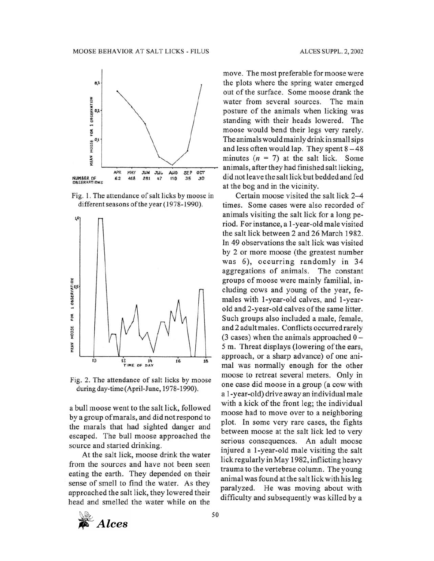

Fig. 1. The attendance of salt licks by moose in different seasons of the year (1978-1990).



Fig. 2. The attendance of salt licks by moose during day-time (April-June, 1978-1990).

a bull moose went to the salt lick, followed by a group of marals, and did not respond to the marals that had sighted danger and escaped. The bull moose approached the source and started drinking.

At the salt lick, moose drink the water from the sources and have not been seen eating the earth. They depended on their sense of smell to find the water. As they approached the salt lick, they lowered their head and smelled the water while on the move. The most preferable for moose were the plots where the spring water emerged out of the surface. Some moose drank the water from several sources. The main posture of the animals when licking was standing with their heads lowered. The moose would bend their legs very rarely. The animals would mainly drink in small sips and less often would lap. They spent  $8-48$ minutes  $(n = 7)$  at the salt lick. Some animals, after they had finished salt licking, did not leave the salt lick but bedded and fed at the bog and in the vicinity.

Certain moose visited the salt lick 2-4 times. Some cases were also recorded of animals visiting the salt lick for a long period. For instance, a 1-year-old male visited the salt lick between 2 and 26 March 1982. In 49 observations the salt lick was visited by 2 or more moose (the greatest number was 6), occurring randomly in 34 aggregations of animals. The constant groups of moose were mainly familial, including cows and young of the year, females with 1-year-old calves, and 1-yearold and 2-year-old calves of the same litter. Such groups also included a male, female, and 2 adult males. Conflicts occurred rarely  $(3 \text{ cases})$  when the animals approached  $0 -$ 5 m. Threat displays (lowering of the ears, approach, or a sharp advance) of one animal was normally enough for the other moose to retreat several meters. Only in one case did moose in a group (a cow with a 1-year-old) drive away an individual male with a kick of the front leg; the individual moose had to move over to a neighboring plot. In some very rare cases, the fights between moose at the salt lick led to very serious consequences. An adult moose injured a 1-year-old male visiting the salt lick regularly in May 1982, inflicting heavy trauma to the vertebrae column. The young animal was found at the salt lick with his leg paralyzed. He was moving about with difficulty and subsequently was killed by a